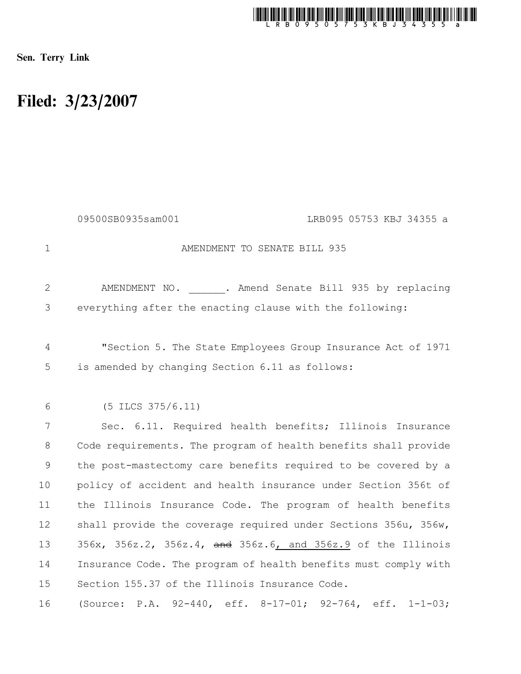

Sen. Terry Link

## Filed: 3/23/2007

|              | LRB095 05753 KBJ 34355 a<br>09500SB0935sam001                                                                  |
|--------------|----------------------------------------------------------------------------------------------------------------|
| $\mathbf{1}$ | AMENDMENT TO SENATE BILL 935                                                                                   |
| 2            | AMENDMENT NO. . Amend Senate Bill 935 by replacing                                                             |
| 3            | everything after the enacting clause with the following:                                                       |
| 4<br>5       | "Section 5. The State Employees Group Insurance Act of 1971<br>is amended by changing Section 6.11 as follows: |
| 6            | $(5$ ILCS $375/6.11)$                                                                                          |
| 7            | Sec. 6.11. Required health benefits; Illinois Insurance                                                        |
| 8            | Code requirements. The program of health benefits shall provide                                                |
| $\mathsf 9$  | the post-mastectomy care benefits required to be covered by a                                                  |
| 10           | policy of accident and health insurance under Section 356t of                                                  |
| 11           | the Illinois Insurance Code. The program of health benefits                                                    |
| 12           | shall provide the coverage required under Sections 356u, 356w,                                                 |
| 13           | 356x, 356z.2, 356z.4, and 356z.6, and 356z.9 of the Illinois                                                   |
| 14           | Insurance Code. The program of health benefits must comply with                                                |
| 15           | Section 155.37 of the Illinois Insurance Code.                                                                 |
| 16           | (Source: P.A. 92-440, eff. 8-17-01; 92-764, eff. 1-1-03;                                                       |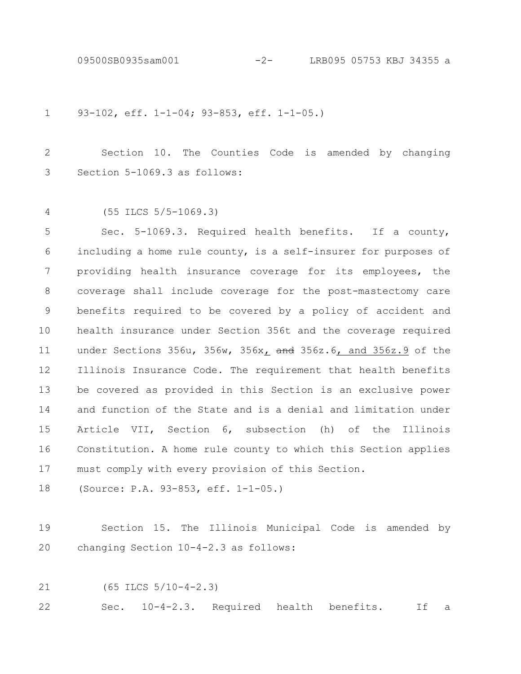09500SB0935sam001 -2- LRB095 05753 KBJ 34355 a

93-102, eff. 1-1-04; 93-853, eff. 1-1-05.) 1

Section 10. The Counties Code is amended by changing Section 5-1069.3 as follows: 2 3

(55 ILCS 5/5-1069.3) 4

Sec. 5-1069.3. Required health benefits. If a county, including a home rule county, is a self-insurer for purposes of providing health insurance coverage for its employees, the coverage shall include coverage for the post-mastectomy care benefits required to be covered by a policy of accident and health insurance under Section 356t and the coverage required under Sections 356u, 356w, 356x, and 356z.6, and 356z.9 of the Illinois Insurance Code. The requirement that health benefits be covered as provided in this Section is an exclusive power and function of the State and is a denial and limitation under Article VII, Section 6, subsection (h) of the Illinois Constitution. A home rule county to which this Section applies must comply with every provision of this Section. 5 6 7 8 9 10 11 12 13 14 15 16 17

(Source: P.A. 93-853, eff. 1-1-05.) 18

- Section 15. The Illinois Municipal Code is amended by changing Section 10-4-2.3 as follows: 19 20
- (65 ILCS 5/10-4-2.3) 21

Sec. 10-4-2.3. Required health benefits. If a 22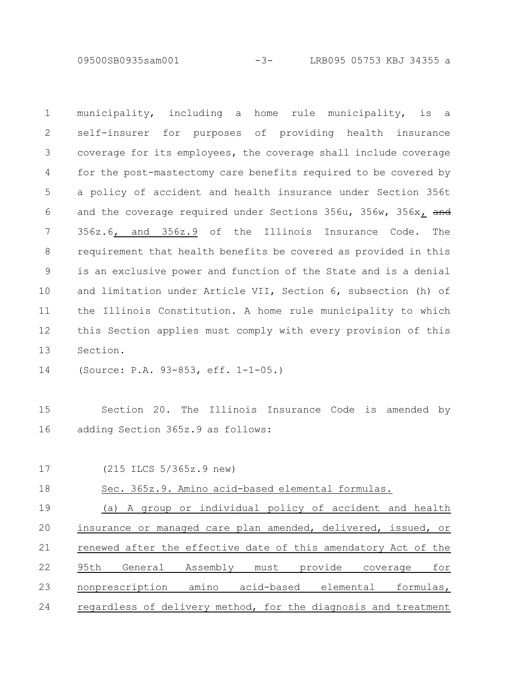09500SB0935sam001 -3- LRB095 05753 KBJ 34355 a

municipality, including a home rule municipality, is a self-insurer for purposes of providing health insurance coverage for its employees, the coverage shall include coverage for the post-mastectomy care benefits required to be covered by a policy of accident and health insurance under Section 356t and the coverage required under Sections 356u, 356w, 356x, and 356z.6, and 356z.9 of the Illinois Insurance Code. The requirement that health benefits be covered as provided in this is an exclusive power and function of the State and is a denial and limitation under Article VII, Section 6, subsection (h) of the Illinois Constitution. A home rule municipality to which this Section applies must comply with every provision of this Section. 1 2 3 4 5 6 7 8 9 10 11 12 13

(Source: P.A. 93-853, eff. 1-1-05.) 14

Section 20. The Illinois Insurance Code is amended by adding Section 365z.9 as follows: 15 16

17

(215 ILCS 5/365z.9 new)

Sec. 365z.9. Amino acid-based elemental formulas. 18

(a) A group or individual policy of accident and health insurance or managed care plan amended, delivered, issued, or renewed after the effective date of this amendatory Act of the 95th General Assembly must provide coverage for nonprescription amino acid-based elemental formulas, regardless of delivery method, for the diagnosis and treatment 19 20 21 22 23 24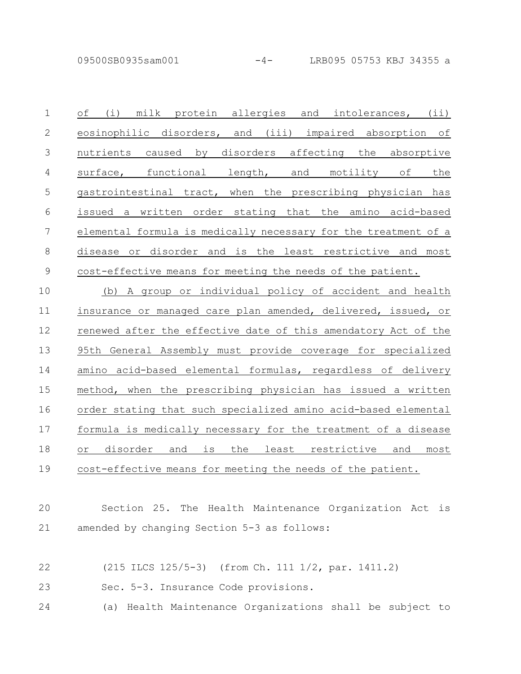of (i) milk protein allergies and intolerances, (ii) eosinophilic disorders, and (iii) impaired absorption of nutrients caused by disorders affecting the absorptive surface, functional length, and motility of the gastrointestinal tract, when the prescribing physician has issued a written order stating that the amino acid-based elemental formula is medically necessary for the treatment of a disease or disorder and is the least restrictive and most cost-effective means for meeting the needs of the patient. 1 2 3 4 5 6 7 8 9

(b) A group or individual policy of accident and health insurance or managed care plan amended, delivered, issued, or renewed after the effective date of this amendatory Act of the 95th General Assembly must provide coverage for specialized amino acid-based elemental formulas, regardless of delivery method, when the prescribing physician has issued a written order stating that such specialized amino acid-based elemental formula is medically necessary for the treatment of a disease or disorder and is the least restrictive and most cost-effective means for meeting the needs of the patient. 10 11 12 13 14 15 16 17 18 19

## Section 25. The Health Maintenance Organization Act is amended by changing Section 5-3 as follows: 20 21

- (215 ILCS 125/5-3) (from Ch. 111 1/2, par. 1411.2) 22
- Sec. 5-3. Insurance Code provisions. 23
- (a) Health Maintenance Organizations shall be subject to 24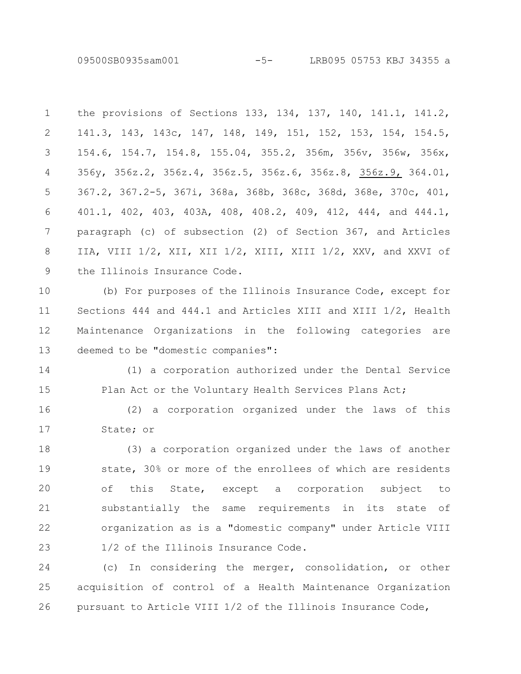09500SB0935sam001 -5- LRB095 05753 KBJ 34355 a

the provisions of Sections 133, 134, 137, 140, 141.1, 141.2, 141.3, 143, 143c, 147, 148, 149, 151, 152, 153, 154, 154.5, 154.6, 154.7, 154.8, 155.04, 355.2, 356m, 356v, 356w, 356x, 356y, 356z.2, 356z.4, 356z.5, 356z.6, 356z.8, 356z.9, 364.01, 367.2, 367.2-5, 367i, 368a, 368b, 368c, 368d, 368e, 370c, 401, 401.1, 402, 403, 403A, 408, 408.2, 409, 412, 444, and 444.1, paragraph (c) of subsection (2) of Section 367, and Articles IIA, VIII 1/2, XII, XII 1/2, XIII, XIII 1/2, XXV, and XXVI of the Illinois Insurance Code. 1 2 3 4 5 6 7 8 9

(b) For purposes of the Illinois Insurance Code, except for Sections 444 and 444.1 and Articles XIII and XIII 1/2, Health Maintenance Organizations in the following categories are deemed to be "domestic companies": 10 11 12 13

(1) a corporation authorized under the Dental Service Plan Act or the Voluntary Health Services Plans Act; 14 15

(2) a corporation organized under the laws of this State; or 16 17

(3) a corporation organized under the laws of another state, 30% or more of the enrollees of which are residents of this State, except a corporation subject to substantially the same requirements in its state of organization as is a "domestic company" under Article VIII 1/2 of the Illinois Insurance Code. 18 19 20 21 22 23

(c) In considering the merger, consolidation, or other acquisition of control of a Health Maintenance Organization pursuant to Article VIII 1/2 of the Illinois Insurance Code, 24 25 26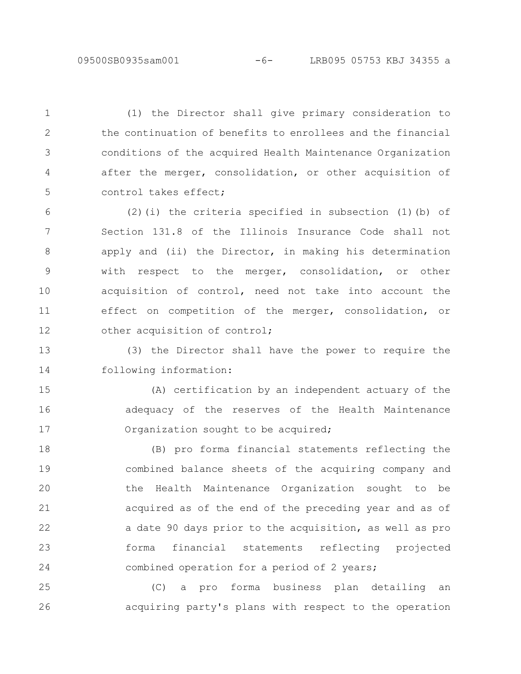(1) the Director shall give primary consideration to the continuation of benefits to enrollees and the financial conditions of the acquired Health Maintenance Organization after the merger, consolidation, or other acquisition of control takes effect;

1

2

3

4

5

(2)(i) the criteria specified in subsection (1)(b) of Section 131.8 of the Illinois Insurance Code shall not apply and (ii) the Director, in making his determination with respect to the merger, consolidation, or other acquisition of control, need not take into account the effect on competition of the merger, consolidation, or other acquisition of control; 6 7 8 9 10 11 12

(3) the Director shall have the power to require the following information: 13 14

(A) certification by an independent actuary of the adequacy of the reserves of the Health Maintenance Organization sought to be acquired; 15 16 17

(B) pro forma financial statements reflecting the combined balance sheets of the acquiring company and the Health Maintenance Organization sought to be acquired as of the end of the preceding year and as of a date 90 days prior to the acquisition, as well as pro forma financial statements reflecting projected combined operation for a period of 2 years; 18 19 20 21 22 23 24

(C) a pro forma business plan detailing an acquiring party's plans with respect to the operation 25 26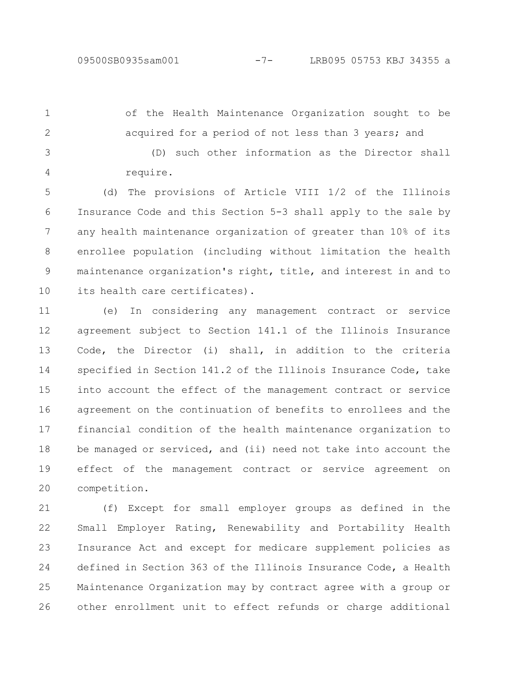of the Health Maintenance Organization sought to be acquired for a period of not less than 3 years; and 1 2

(D) such other information as the Director shall require. 3 4

(d) The provisions of Article VIII 1/2 of the Illinois Insurance Code and this Section 5-3 shall apply to the sale by any health maintenance organization of greater than 10% of its enrollee population (including without limitation the health maintenance organization's right, title, and interest in and to its health care certificates). 5 6 7 8 9 10

(e) In considering any management contract or service agreement subject to Section 141.1 of the Illinois Insurance Code, the Director (i) shall, in addition to the criteria specified in Section 141.2 of the Illinois Insurance Code, take into account the effect of the management contract or service agreement on the continuation of benefits to enrollees and the financial condition of the health maintenance organization to be managed or serviced, and (ii) need not take into account the effect of the management contract or service agreement on competition. 11 12 13 14 15 16 17 18 19 20

(f) Except for small employer groups as defined in the Small Employer Rating, Renewability and Portability Health Insurance Act and except for medicare supplement policies as defined in Section 363 of the Illinois Insurance Code, a Health Maintenance Organization may by contract agree with a group or other enrollment unit to effect refunds or charge additional 21 22 23 24 25 26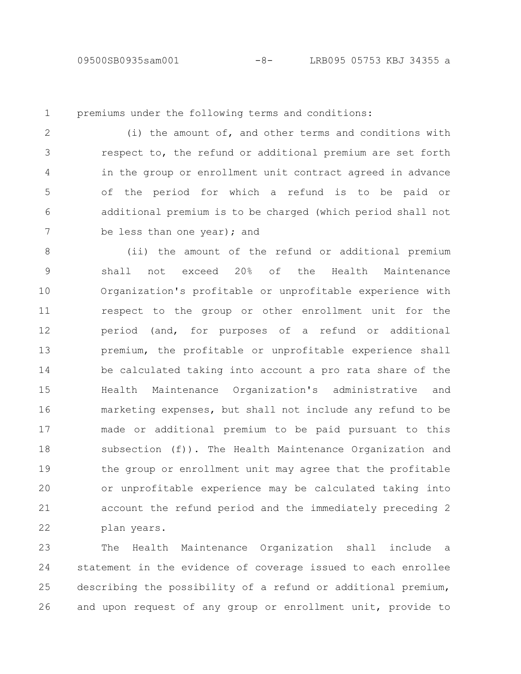1

premiums under the following terms and conditions:

(i) the amount of, and other terms and conditions with respect to, the refund or additional premium are set forth in the group or enrollment unit contract agreed in advance of the period for which a refund is to be paid or additional premium is to be charged (which period shall not be less than one year); and 2 3 4 5 6 7

(ii) the amount of the refund or additional premium shall not exceed 20% of the Health Maintenance Organization's profitable or unprofitable experience with respect to the group or other enrollment unit for the period (and, for purposes of a refund or additional premium, the profitable or unprofitable experience shall be calculated taking into account a pro rata share of the Health Maintenance Organization's administrative and marketing expenses, but shall not include any refund to be made or additional premium to be paid pursuant to this subsection (f)). The Health Maintenance Organization and the group or enrollment unit may agree that the profitable or unprofitable experience may be calculated taking into account the refund period and the immediately preceding 2 plan years. 8 9 10 11 12 13 14 15 16 17 18 19 20 21 22

The Health Maintenance Organization shall include a statement in the evidence of coverage issued to each enrollee describing the possibility of a refund or additional premium, and upon request of any group or enrollment unit, provide to 23 24 25 26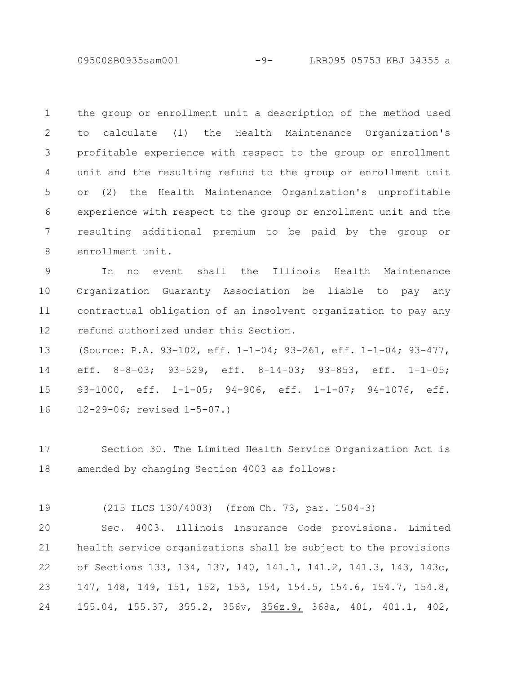09500SB0935sam001 -9- LRB095 05753 KBJ 34355 a

the group or enrollment unit a description of the method used to calculate (1) the Health Maintenance Organization's profitable experience with respect to the group or enrollment unit and the resulting refund to the group or enrollment unit or (2) the Health Maintenance Organization's unprofitable experience with respect to the group or enrollment unit and the resulting additional premium to be paid by the group or enrollment unit. 1 2 3 4 5 6 7 8

In no event shall the Illinois Health Maintenance Organization Guaranty Association be liable to pay any contractual obligation of an insolvent organization to pay any refund authorized under this Section. 9 10 11 12

(Source: P.A. 93-102, eff. 1-1-04; 93-261, eff. 1-1-04; 93-477, eff. 8-8-03; 93-529, eff. 8-14-03; 93-853, eff. 1-1-05; 93-1000, eff. 1-1-05; 94-906, eff. 1-1-07; 94-1076, eff. 12-29-06; revised 1-5-07.) 13 14 15 16

Section 30. The Limited Health Service Organization Act is amended by changing Section 4003 as follows: 17 18

(215 ILCS 130/4003) (from Ch. 73, par. 1504-3) 19

Sec. 4003. Illinois Insurance Code provisions. Limited health service organizations shall be subject to the provisions of Sections 133, 134, 137, 140, 141.1, 141.2, 141.3, 143, 143c, 147, 148, 149, 151, 152, 153, 154, 154.5, 154.6, 154.7, 154.8, 155.04, 155.37, 355.2, 356v, 356z.9, 368a, 401, 401.1, 402, 20 21 22 23 24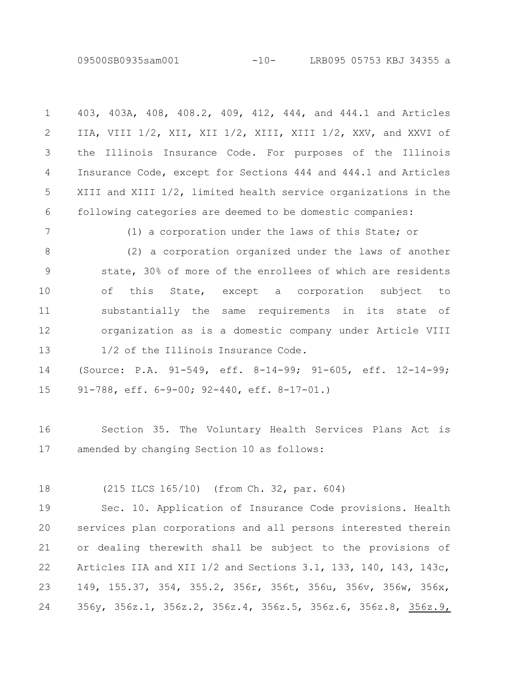09500SB0935sam001 -10- LRB095 05753 KBJ 34355 a

| $\mathbf{1}$ | 403, 403A, 408, 408.2, 409, 412, 444, and 444.1 and Articles   |
|--------------|----------------------------------------------------------------|
| $\mathbf{2}$ | IIA, VIII 1/2, XII, XII 1/2, XIII, XIII 1/2, XXV, and XXVI of  |
| 3            | the Illinois Insurance Code. For purposes of the Illinois      |
| 4            | Insurance Code, except for Sections 444 and 444.1 and Articles |
| 5            | XIII and XIII 1/2, limited health service organizations in the |
| 6            | following categories are deemed to be domestic companies:      |
| 7            | (1) a corporation under the laws of this State; or             |
| 8            | (2) a corporation organized under the laws of another          |
| 9            | state, 30% of more of the enrollees of which are residents     |
| 10           | of this State, except a corporation subject to                 |
| 11           | substantially the same requirements in its state of            |
| 12           | organization as is a domestic company under Article VIII       |
| 13           | 1/2 of the Illinois Insurance Code.                            |
| 14           | (Source: P.A. 91-549, eff. 8-14-99; 91-605, eff. 12-14-99;     |
| 15           | $91-788$ , eff. $6-9-00$ ; $92-440$ , eff. $8-17-01$ .         |

Section 35. The Voluntary Health Services Plans Act is amended by changing Section 10 as follows: 16 17

(215 ILCS 165/10) (from Ch. 32, par. 604) 18

Sec. 10. Application of Insurance Code provisions. Health services plan corporations and all persons interested therein or dealing therewith shall be subject to the provisions of Articles IIA and XII 1/2 and Sections 3.1, 133, 140, 143, 143c, 149, 155.37, 354, 355.2, 356r, 356t, 356u, 356v, 356w, 356x, 356y, 356z.1, 356z.2, 356z.4, 356z.5, 356z.6, 356z.8, 356z.9, 19 20 21 22 23 24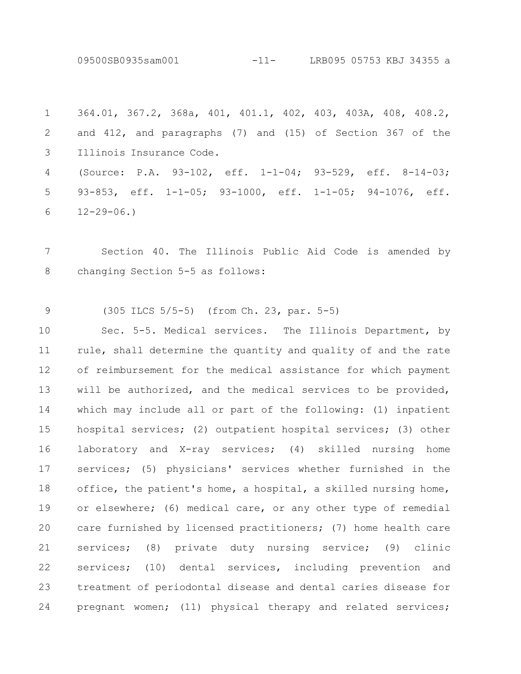09500SB0935sam001 -11- LRB095 05753 KBJ 34355 a

364.01, 367.2, 368a, 401, 401.1, 402, 403, 403A, 408, 408.2, and 412, and paragraphs (7) and (15) of Section 367 of the Illinois Insurance Code. (Source: P.A. 93-102, eff. 1-1-04; 93-529, eff. 8-14-03; 93-853, eff. 1-1-05; 93-1000, eff. 1-1-05; 94-1076, eff.  $12 - 29 - 06.$ 1 2 3 4 5 6

Section 40. The Illinois Public Aid Code is amended by changing Section 5-5 as follows: 7 8

(305 ILCS 5/5-5) (from Ch. 23, par. 5-5) 9

Sec. 5-5. Medical services. The Illinois Department, by rule, shall determine the quantity and quality of and the rate of reimbursement for the medical assistance for which payment will be authorized, and the medical services to be provided, which may include all or part of the following: (1) inpatient hospital services; (2) outpatient hospital services; (3) other laboratory and X-ray services; (4) skilled nursing home services; (5) physicians' services whether furnished in the office, the patient's home, a hospital, a skilled nursing home, or elsewhere; (6) medical care, or any other type of remedial care furnished by licensed practitioners; (7) home health care services; (8) private duty nursing service; (9) clinic services; (10) dental services, including prevention and treatment of periodontal disease and dental caries disease for pregnant women; (11) physical therapy and related services; 10 11 12 13 14 15 16 17 18 19 20 21 22 23 24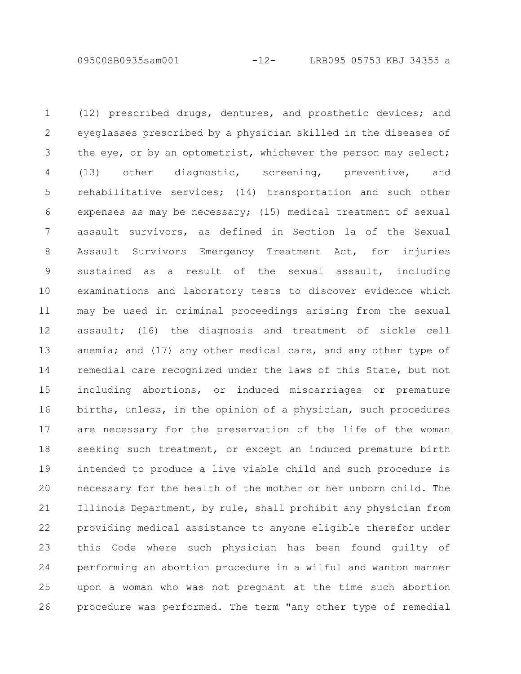09500SB0935sam001 -12- LRB095 05753 KBJ 34355 a

(12) prescribed drugs, dentures, and prosthetic devices; and eyeglasses prescribed by a physician skilled in the diseases of the eye, or by an optometrist, whichever the person may select; (13) other diagnostic, screening, preventive, and rehabilitative services; (14) transportation and such other expenses as may be necessary; (15) medical treatment of sexual assault survivors, as defined in Section 1a of the Sexual Assault Survivors Emergency Treatment Act, for injuries sustained as a result of the sexual assault, including examinations and laboratory tests to discover evidence which may be used in criminal proceedings arising from the sexual assault; (16) the diagnosis and treatment of sickle cell anemia; and (17) any other medical care, and any other type of remedial care recognized under the laws of this State, but not including abortions, or induced miscarriages or premature births, unless, in the opinion of a physician, such procedures are necessary for the preservation of the life of the woman seeking such treatment, or except an induced premature birth intended to produce a live viable child and such procedure is necessary for the health of the mother or her unborn child. The Illinois Department, by rule, shall prohibit any physician from providing medical assistance to anyone eligible therefor under this Code where such physician has been found guilty of performing an abortion procedure in a wilful and wanton manner upon a woman who was not pregnant at the time such abortion procedure was performed. The term "any other type of remedial 1 2 3 4 5 6 7 8 9 10 11 12 13 14 15 16 17 18 19 20 21 22 23 24 25 26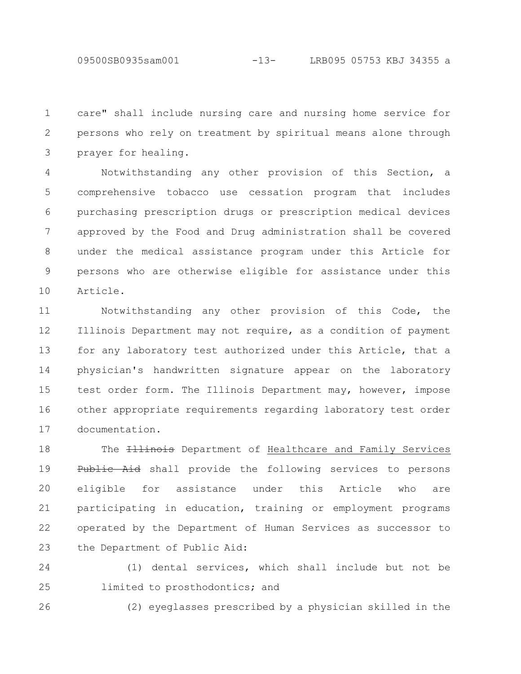09500SB0935sam001 -13- LRB095 05753 KBJ 34355 a

care" shall include nursing care and nursing home service for persons who rely on treatment by spiritual means alone through prayer for healing. 1 2 3

Notwithstanding any other provision of this Section, a comprehensive tobacco use cessation program that includes purchasing prescription drugs or prescription medical devices approved by the Food and Drug administration shall be covered under the medical assistance program under this Article for persons who are otherwise eligible for assistance under this Article. 4 5 6 7 8 9 10

Notwithstanding any other provision of this Code, the Illinois Department may not require, as a condition of payment for any laboratory test authorized under this Article, that a physician's handwritten signature appear on the laboratory test order form. The Illinois Department may, however, impose other appropriate requirements regarding laboratory test order documentation. 11 12 13 14 15 16 17

The **Illinois** Department of Healthcare and Family Services Public Aid shall provide the following services to persons eligible for assistance under this Article who are participating in education, training or employment programs operated by the Department of Human Services as successor to the Department of Public Aid: 18 19 20 21 22 23

(1) dental services, which shall include but not be limited to prosthodontics; and 24 25

26

(2) eyeglasses prescribed by a physician skilled in the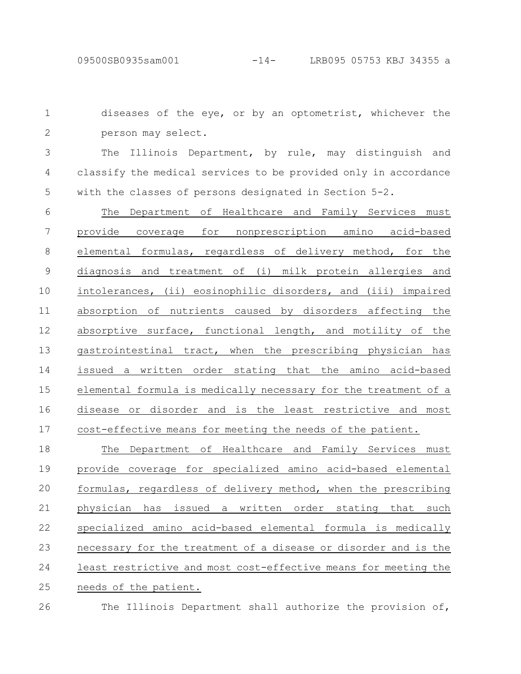26

diseases of the eye, or by an optometrist, whichever the person may select. 1 2

The Illinois Department, by rule, may distinguish and classify the medical services to be provided only in accordance with the classes of persons designated in Section 5-2. 3 4 5

The Department of Healthcare and Family Services must provide coverage for nonprescription amino acid-based elemental formulas, regardless of delivery method, for the diagnosis and treatment of (i) milk protein allergies and intolerances, (ii) eosinophilic disorders, and (iii) impaired absorption of nutrients caused by disorders affecting the absorptive surface, functional length, and motility of the gastrointestinal tract, when the prescribing physician has issued a written order stating that the amino acid-based elemental formula is medically necessary for the treatment of a disease or disorder and is the least restrictive and most cost-effective means for meeting the needs of the patient. 6 7 8 9 10 11 12 13 14 15 16 17

The Department of Healthcare and Family Services must provide coverage for specialized amino acid-based elemental formulas, regardless of delivery method, when the prescribing physician has issued a written order stating that such specialized amino acid-based elemental formula is medically necessary for the treatment of a disease or disorder and is the least restrictive and most cost-effective means for meeting the needs of the patient. 18 19 20 21 22 23 24 25

The Illinois Department shall authorize the provision of,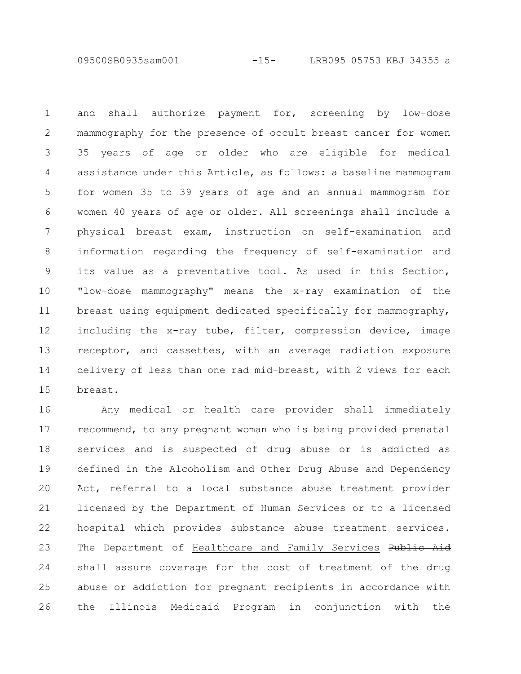09500SB0935sam001 -15- LRB095 05753 KBJ 34355 a

and shall authorize payment for, screening by low-dose mammography for the presence of occult breast cancer for women 35 years of age or older who are eligible for medical assistance under this Article, as follows: a baseline mammogram for women 35 to 39 years of age and an annual mammogram for women 40 years of age or older. All screenings shall include a physical breast exam, instruction on self-examination and information regarding the frequency of self-examination and its value as a preventative tool. As used in this Section, "low-dose mammography" means the x-ray examination of the breast using equipment dedicated specifically for mammography, including the x-ray tube, filter, compression device, image receptor, and cassettes, with an average radiation exposure delivery of less than one rad mid-breast, with 2 views for each breast. 1 2 3 4 5 6 7 8 9 10 11 12 13 14 15

Any medical or health care provider shall immediately recommend, to any pregnant woman who is being provided prenatal services and is suspected of drug abuse or is addicted as defined in the Alcoholism and Other Drug Abuse and Dependency Act, referral to a local substance abuse treatment provider licensed by the Department of Human Services or to a licensed hospital which provides substance abuse treatment services. The Department of Healthcare and Family Services Public Aid shall assure coverage for the cost of treatment of the drug abuse or addiction for pregnant recipients in accordance with the Illinois Medicaid Program in conjunction with the 16 17 18 19 20 21 22 23 24 25 26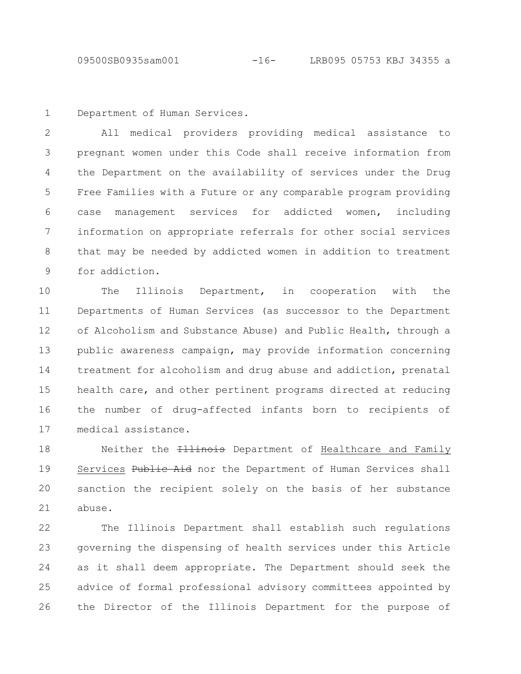Department of Human Services. 1

All medical providers providing medical assistance to pregnant women under this Code shall receive information from the Department on the availability of services under the Drug Free Families with a Future or any comparable program providing case management services for addicted women, including information on appropriate referrals for other social services that may be needed by addicted women in addition to treatment for addiction. 2 3 4 5 6 7 8 9

The Illinois Department, in cooperation with the Departments of Human Services (as successor to the Department of Alcoholism and Substance Abuse) and Public Health, through a public awareness campaign, may provide information concerning treatment for alcoholism and drug abuse and addiction, prenatal health care, and other pertinent programs directed at reducing the number of drug-affected infants born to recipients of medical assistance. 10 11 12 13 14 15 16 17

Neither the *Illinois* Department of Healthcare and Family Services Public Aid nor the Department of Human Services shall sanction the recipient solely on the basis of her substance abuse. 18 19 20 21

The Illinois Department shall establish such regulations governing the dispensing of health services under this Article as it shall deem appropriate. The Department should seek the advice of formal professional advisory committees appointed by the Director of the Illinois Department for the purpose of 22 23 24 25 26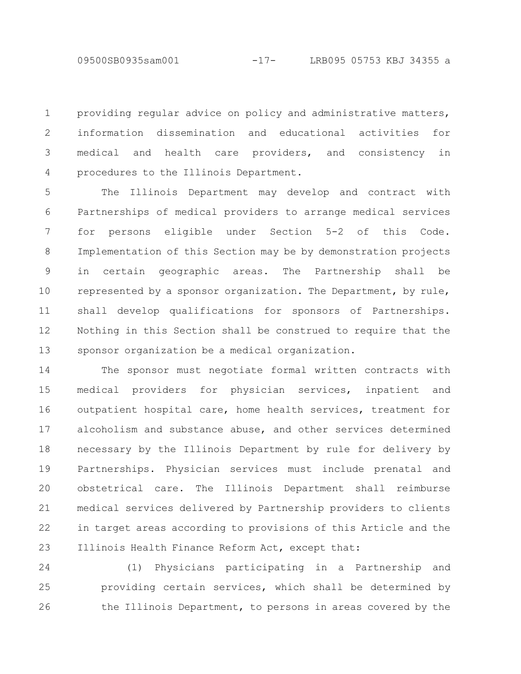09500SB0935sam001 -17- LRB095 05753 KBJ 34355 a

providing regular advice on policy and administrative matters, information dissemination and educational activities for medical and health care providers, and consistency in procedures to the Illinois Department. 1 2 3 4

The Illinois Department may develop and contract with Partnerships of medical providers to arrange medical services for persons eligible under Section 5-2 of this Code. Implementation of this Section may be by demonstration projects in certain geographic areas. The Partnership shall be represented by a sponsor organization. The Department, by rule, shall develop qualifications for sponsors of Partnerships. Nothing in this Section shall be construed to require that the sponsor organization be a medical organization. 5 6 7 8 9 10 11 12 13

The sponsor must negotiate formal written contracts with medical providers for physician services, inpatient and outpatient hospital care, home health services, treatment for alcoholism and substance abuse, and other services determined necessary by the Illinois Department by rule for delivery by Partnerships. Physician services must include prenatal and obstetrical care. The Illinois Department shall reimburse medical services delivered by Partnership providers to clients in target areas according to provisions of this Article and the Illinois Health Finance Reform Act, except that: 14 15 16 17 18 19 20 21 22 23

(1) Physicians participating in a Partnership and providing certain services, which shall be determined by the Illinois Department, to persons in areas covered by the 24 25 26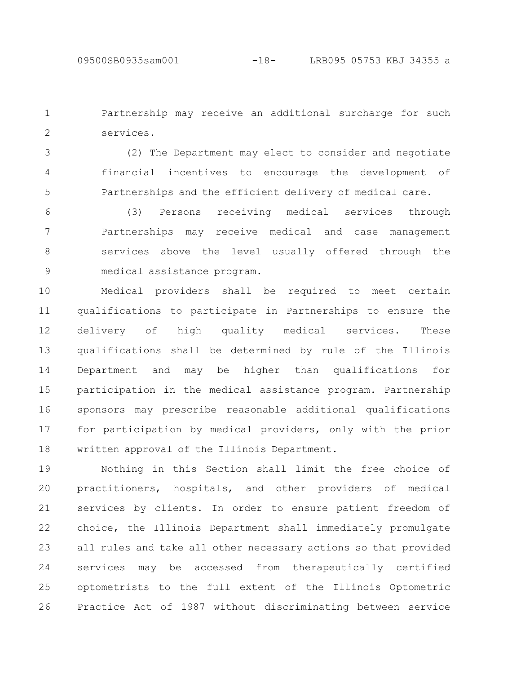Partnership may receive an additional surcharge for such services. 1 2

(2) The Department may elect to consider and negotiate financial incentives to encourage the development of Partnerships and the efficient delivery of medical care. 3 4 5

(3) Persons receiving medical services through Partnerships may receive medical and case management services above the level usually offered through the medical assistance program. 6 7 8 9

Medical providers shall be required to meet certain qualifications to participate in Partnerships to ensure the delivery of high quality medical services. These qualifications shall be determined by rule of the Illinois Department and may be higher than qualifications for participation in the medical assistance program. Partnership sponsors may prescribe reasonable additional qualifications for participation by medical providers, only with the prior written approval of the Illinois Department. 10 11 12 13 14 15 16 17 18

Nothing in this Section shall limit the free choice of practitioners, hospitals, and other providers of medical services by clients. In order to ensure patient freedom of choice, the Illinois Department shall immediately promulgate all rules and take all other necessary actions so that provided services may be accessed from therapeutically certified optometrists to the full extent of the Illinois Optometric Practice Act of 1987 without discriminating between service 19 20 21 22 23 24 25 26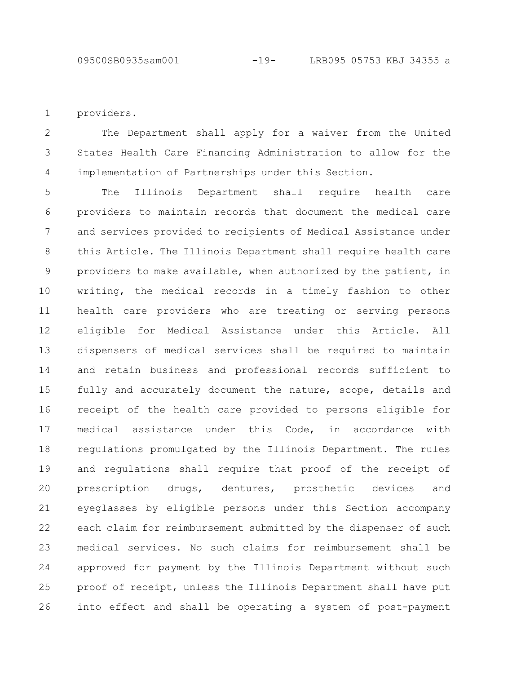providers. 1

The Department shall apply for a waiver from the United States Health Care Financing Administration to allow for the implementation of Partnerships under this Section. 2 3 4

The Illinois Department shall require health care providers to maintain records that document the medical care and services provided to recipients of Medical Assistance under this Article. The Illinois Department shall require health care providers to make available, when authorized by the patient, in writing, the medical records in a timely fashion to other health care providers who are treating or serving persons eligible for Medical Assistance under this Article. All dispensers of medical services shall be required to maintain and retain business and professional records sufficient to fully and accurately document the nature, scope, details and receipt of the health care provided to persons eligible for medical assistance under this Code, in accordance with regulations promulgated by the Illinois Department. The rules and regulations shall require that proof of the receipt of prescription drugs, dentures, prosthetic devices and eyeglasses by eligible persons under this Section accompany each claim for reimbursement submitted by the dispenser of such medical services. No such claims for reimbursement shall be approved for payment by the Illinois Department without such proof of receipt, unless the Illinois Department shall have put into effect and shall be operating a system of post-payment 5 6 7 8 9 10 11 12 13 14 15 16 17 18 19 20 21 22 23 24 25 26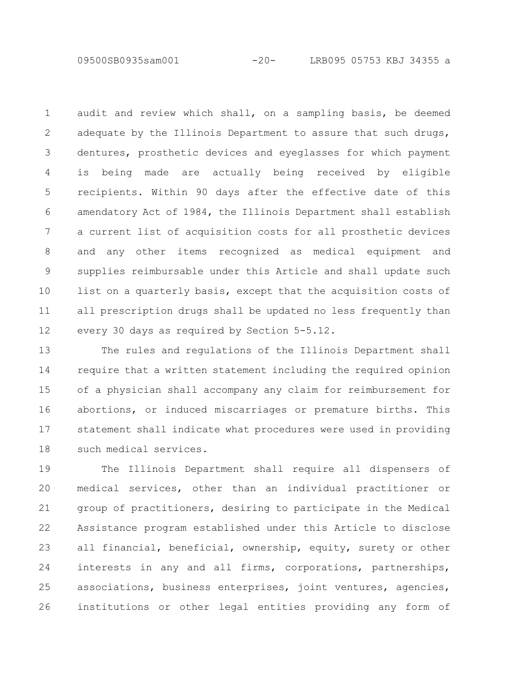09500SB0935sam001 -20- LRB095 05753 KBJ 34355 a

audit and review which shall, on a sampling basis, be deemed adequate by the Illinois Department to assure that such drugs, dentures, prosthetic devices and eyeglasses for which payment is being made are actually being received by eligible recipients. Within 90 days after the effective date of this amendatory Act of 1984, the Illinois Department shall establish a current list of acquisition costs for all prosthetic devices and any other items recognized as medical equipment and supplies reimbursable under this Article and shall update such list on a quarterly basis, except that the acquisition costs of all prescription drugs shall be updated no less frequently than every 30 days as required by Section 5-5.12. 1 2 3 4 5 6 7 8 9 10 11 12

The rules and regulations of the Illinois Department shall require that a written statement including the required opinion of a physician shall accompany any claim for reimbursement for abortions, or induced miscarriages or premature births. This statement shall indicate what procedures were used in providing such medical services. 13 14 15 16 17 18

The Illinois Department shall require all dispensers of medical services, other than an individual practitioner or group of practitioners, desiring to participate in the Medical Assistance program established under this Article to disclose all financial, beneficial, ownership, equity, surety or other interests in any and all firms, corporations, partnerships, associations, business enterprises, joint ventures, agencies, institutions or other legal entities providing any form of 19 20 21 22 23 24 25 26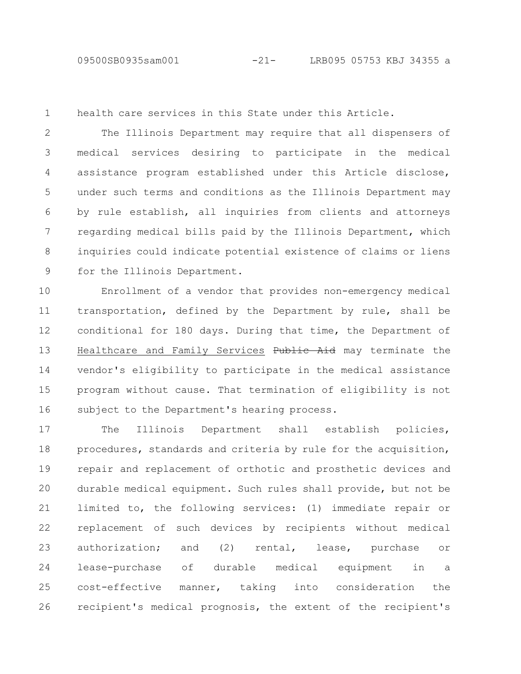1

health care services in this State under this Article.

The Illinois Department may require that all dispensers of medical services desiring to participate in the medical assistance program established under this Article disclose, under such terms and conditions as the Illinois Department may by rule establish, all inquiries from clients and attorneys regarding medical bills paid by the Illinois Department, which inquiries could indicate potential existence of claims or liens for the Illinois Department. 2 3 4 5 6 7 8 9

Enrollment of a vendor that provides non-emergency medical transportation, defined by the Department by rule, shall be conditional for 180 days. During that time, the Department of Healthcare and Family Services Public Aid may terminate the vendor's eligibility to participate in the medical assistance program without cause. That termination of eligibility is not subject to the Department's hearing process. 10 11 12 13 14 15 16

The Illinois Department shall establish policies, procedures, standards and criteria by rule for the acquisition, repair and replacement of orthotic and prosthetic devices and durable medical equipment. Such rules shall provide, but not be limited to, the following services: (1) immediate repair or replacement of such devices by recipients without medical authorization; and (2) rental, lease, purchase or lease-purchase of durable medical equipment in a cost-effective manner, taking into consideration the recipient's medical prognosis, the extent of the recipient's 17 18 19 20 21 22 23 24 25 26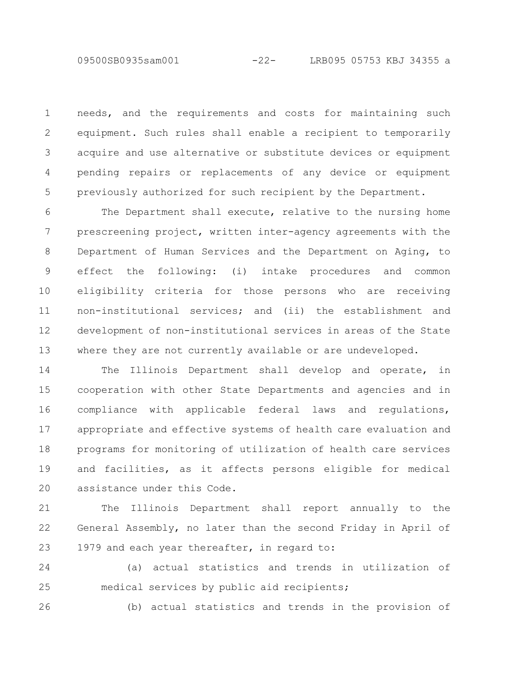needs, and the requirements and costs for maintaining such equipment. Such rules shall enable a recipient to temporarily acquire and use alternative or substitute devices or equipment pending repairs or replacements of any device or equipment previously authorized for such recipient by the Department. 1 2 3 4 5

The Department shall execute, relative to the nursing home prescreening project, written inter-agency agreements with the Department of Human Services and the Department on Aging, to effect the following: (i) intake procedures and common eligibility criteria for those persons who are receiving non-institutional services; and (ii) the establishment and development of non-institutional services in areas of the State where they are not currently available or are undeveloped. 6 7 8 9 10 11 12 13

The Illinois Department shall develop and operate, in cooperation with other State Departments and agencies and in compliance with applicable federal laws and regulations, appropriate and effective systems of health care evaluation and programs for monitoring of utilization of health care services and facilities, as it affects persons eligible for medical assistance under this Code. 14 15 16 17 18 19 20

The Illinois Department shall report annually to the General Assembly, no later than the second Friday in April of 1979 and each year thereafter, in regard to: 21 22 23

(a) actual statistics and trends in utilization of medical services by public aid recipients; 24 25

26

(b) actual statistics and trends in the provision of